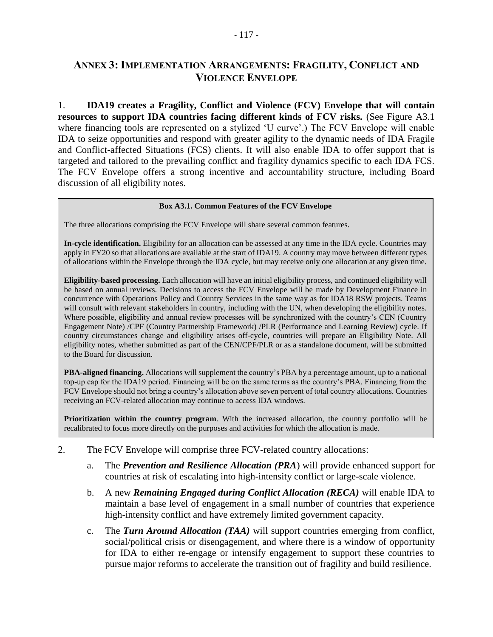# **ANNEX 3: IMPLEMENTATION ARRANGEMENTS: FRAGILITY, CONFLICT AND VIOLENCE ENVELOPE**

1. **IDA19 creates a Fragility, Conflict and Violence (FCV) Envelope that will contain resources to support IDA countries facing different kinds of FCV risks.** (See Figure A3.1 where financing tools are represented on a stylized 'U curve'.) The FCV Envelope will enable IDA to seize opportunities and respond with greater agility to the dynamic needs of IDA Fragile and Conflict-affected Situations (FCS) clients. It will also enable IDA to offer support that is targeted and tailored to the prevailing conflict and fragility dynamics specific to each IDA FCS. The FCV Envelope offers a strong incentive and accountability structure, including Board discussion of all eligibility notes.

#### **Box A3.1. Common Features of the FCV Envelope**

The three allocations comprising the FCV Envelope will share several common features.

**In-cycle identification.** Eligibility for an allocation can be assessed at any time in the IDA cycle. Countries may apply in FY20 so that allocations are available at the start of IDA19. A country may move between different types of allocations within the Envelope through the IDA cycle, but may receive only one allocation at any given time.

**Eligibility-based processing.** Each allocation will have an initial eligibility process, and continued eligibility will be based on annual reviews. Decisions to access the FCV Envelope will be made by Development Finance in concurrence with Operations Policy and Country Services in the same way as for IDA18 RSW projects. Teams will consult with relevant stakeholders in country, including with the UN, when developing the eligibility notes. Where possible, eligibility and annual review processes will be synchronized with the country's CEN (Country Engagement Note) /CPF (Country Partnership Framework) /PLR (Performance and Learning Review) cycle. If country circumstances change and eligibility arises off-cycle, countries will prepare an Eligibility Note. All eligibility notes, whether submitted as part of the CEN/CPF/PLR or as a standalone document, will be submitted to the Board for discussion.

**PBA-aligned financing.** Allocations will supplement the country's PBA by a percentage amount, up to a national top-up cap for the IDA19 period. Financing will be on the same terms as the country's PBA. Financing from the FCV Envelope should not bring a country's allocation above seven percent of total country allocations. Countries receiving an FCV-related allocation may continue to access IDA windows.

**Prioritization within the country program**. With the increased allocation, the country portfolio will be recalibrated to focus more directly on the purposes and activities for which the allocation is made.

- 2. The FCV Envelope will comprise three FCV-related country allocations:
	- a. The *Prevention and Resilience Allocation (PRA*) will provide enhanced support for countries at risk of escalating into high-intensity conflict or large-scale violence.
	- b. A new *Remaining Engaged during Conflict Allocation (RECA)* will enable IDA to maintain a base level of engagement in a small number of countries that experience high-intensity conflict and have extremely limited government capacity.
	- c. The *Turn Around Allocation (TAA)* will support countries emerging from conflict, social/political crisis or disengagement, and where there is a window of opportunity for IDA to either re-engage or intensify engagement to support these countries to pursue major reforms to accelerate the transition out of fragility and build resilience.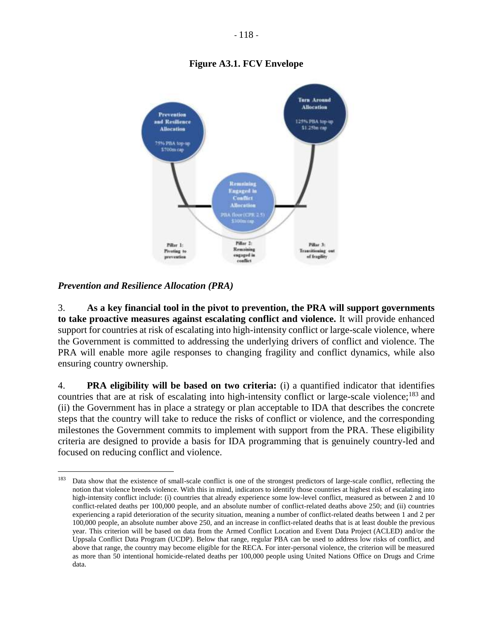## **Figure A3.1. FCV Envelope**



*Prevention and Resilience Allocation (PRA)*

 $\overline{a}$ 

3. **As a key financial tool in the pivot to prevention, the PRA will support governments to take proactive measures against escalating conflict and violence.** It will provide enhanced support for countries at risk of escalating into high-intensity conflict or large-scale violence, where the Government is committed to addressing the underlying drivers of conflict and violence. The PRA will enable more agile responses to changing fragility and conflict dynamics, while also ensuring country ownership.

4. **PRA eligibility will be based on two criteria:** (i) a quantified indicator that identifies countries that are at risk of escalating into high-intensity conflict or large-scale violence;<sup>183</sup> and (ii) the Government has in place a strategy or plan acceptable to IDA that describes the concrete steps that the country will take to reduce the risks of conflict or violence, and the corresponding milestones the Government commits to implement with support from the PRA. These eligibility criteria are designed to provide a basis for IDA programming that is genuinely country-led and focused on reducing conflict and violence.

<sup>&</sup>lt;sup>183</sup> Data show that the existence of small-scale conflict is one of the strongest predictors of large-scale conflict, reflecting the notion that violence breeds violence. With this in mind, indicators to identify those countries at highest risk of escalating into high-intensity conflict include: (i) countries that already experience some low-level conflict, measured as between 2 and 10 conflict-related deaths per 100,000 people, and an absolute number of conflict-related deaths above 250; and (ii) countries experiencing a rapid deterioration of the security situation, meaning a number of conflict-related deaths between 1 and 2 per 100,000 people, an absolute number above 250, and an increase in conflict-related deaths that is at least double the previous year. This criterion will be based on data from the Armed Conflict Location and Event Data Project (ACLED) and/or the Uppsala Conflict Data Program (UCDP). Below that range, regular PBA can be used to address low risks of conflict, and above that range, the country may become eligible for the RECA. For inter-personal violence, the criterion will be measured as more than 50 intentional homicide-related deaths per 100,000 people using United Nations Office on Drugs and Crime data.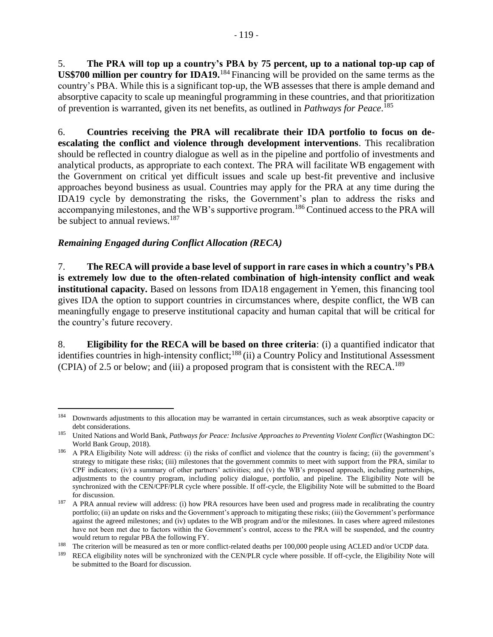5. **The PRA will top up a country's PBA by 75 percent, up to a national top-up cap of US\$700 million per country for IDA19.**<sup>184</sup> Financing will be provided on the same terms as the country's PBA. While this is a significant top-up, the WB assesses that there is ample demand and absorptive capacity to scale up meaningful programming in these countries, and that prioritization of prevention is warranted, given its net benefits, as outlined in *Pathways for Peace*. 185

6. **Countries receiving the PRA will recalibrate their IDA portfolio to focus on deescalating the conflict and violence through development interventions**. This recalibration should be reflected in country dialogue as well as in the pipeline and portfolio of investments and analytical products, as appropriate to each context. The PRA will facilitate WB engagement with the Government on critical yet difficult issues and scale up best-fit preventive and inclusive approaches beyond business as usual. Countries may apply for the PRA at any time during the IDA19 cycle by demonstrating the risks, the Government's plan to address the risks and accompanying milestones, and the WB's supportive program.<sup>186</sup> Continued access to the PRA will be subject to annual reviews.<sup>187</sup>

### *Remaining Engaged during Conflict Allocation (RECA)*

 $\overline{\phantom{a}}$ 

7. **The RECA will provide a base level of support in rare cases in which a country's PBA is extremely low due to the often-related combination of high-intensity conflict and weak institutional capacity.** Based on lessons from IDA18 engagement in Yemen, this financing tool gives IDA the option to support countries in circumstances where, despite conflict, the WB can meaningfully engage to preserve institutional capacity and human capital that will be critical for the country's future recovery.

8. **Eligibility for the RECA will be based on three criteria**: (i) a quantified indicator that identifies countries in high-intensity conflict;<sup>188</sup> (ii) a Country Policy and Institutional Assessment (CPIA) of 2.5 or below; and (iii) a proposed program that is consistent with the RECA.<sup>189</sup>

<sup>&</sup>lt;sup>184</sup> Downwards adjustments to this allocation may be warranted in certain circumstances, such as weak absorptive capacity or debt considerations.

<sup>185</sup> United Nations and World Bank, *Pathways for Peace: Inclusive Approaches to Preventing Violent Conflict* (Washington DC: World Bank Group, 2018).

<sup>&</sup>lt;sup>186</sup> A PRA Eligibility Note will address: (i) the risks of conflict and violence that the country is facing; (ii) the government's strategy to mitigate these risks; (iii) milestones that the government commits to meet with support from the PRA, similar to CPF indicators; (iv) a summary of other partners' activities; and (v) the WB's proposed approach, including partnerships, adjustments to the country program, including policy dialogue, portfolio, and pipeline. The Eligibility Note will be synchronized with the CEN/CPF/PLR cycle where possible. If off-cycle, the Eligibility Note will be submitted to the Board for discussion.

<sup>&</sup>lt;sup>187</sup> A PRA annual review will address: (i) how PRA resources have been used and progress made in recalibrating the country portfolio; (ii) an update on risks and the Government's approach to mitigating these risks; (iii) the Government's performance against the agreed milestones; and (iv) updates to the WB program and/or the milestones. In cases where agreed milestones have not been met due to factors within the Government's control, access to the PRA will be suspended, and the country would return to regular PBA the following FY.

<sup>&</sup>lt;sup>188</sup> The criterion will be measured as ten or more conflict-related deaths per 100,000 people using ACLED and/or UCDP data.

RECA eligibility notes will be synchronized with the CEN/PLR cycle where possible. If off-cycle, the Eligibility Note will be submitted to the Board for discussion.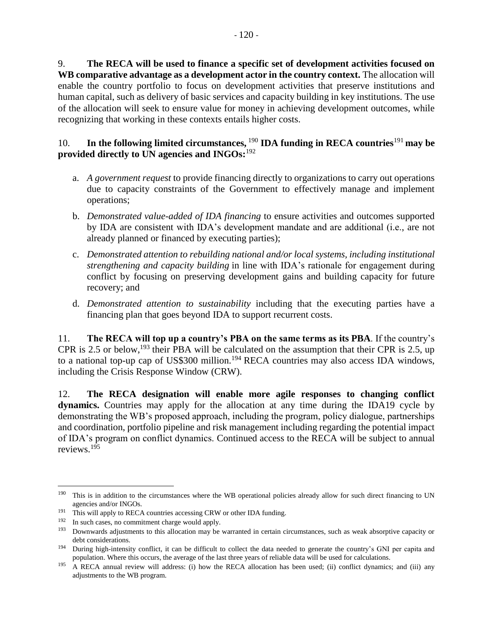9. **The RECA will be used to finance a specific set of development activities focused on WB comparative advantage as a development actor in the country context.** The allocation will enable the country portfolio to focus on development activities that preserve institutions and human capital, such as delivery of basic services and capacity building in key institutions. The use of the allocation will seek to ensure value for money in achieving development outcomes, while recognizing that working in these contexts entails higher costs.

#### 10. **In the following limited circumstances,** <sup>190</sup> **IDA funding in RECA countries**<sup>191</sup> **may be provided directly to UN agencies and INGOs:**<sup>192</sup>

- a. *A government request* to provide financing directly to organizations to carry out operations due to capacity constraints of the Government to effectively manage and implement operations;
- b. *Demonstrated value-added of IDA financing* to ensure activities and outcomes supported by IDA are consistent with IDA's development mandate and are additional (i.e., are not already planned or financed by executing parties);
- c. *Demonstrated attention to rebuilding national and/or local systems, including institutional strengthening and capacity building* in line with IDA's rationale for engagement during conflict by focusing on preserving development gains and building capacity for future recovery; and
- d. *Demonstrated attention to sustainability* including that the executing parties have a financing plan that goes beyond IDA to support recurrent costs.

11. **The RECA will top up a country's PBA on the same terms as its PBA**. If the country's CPR is 2.5 or below,<sup>193</sup> their PBA will be calculated on the assumption that their CPR is 2.5, up to a national top-up cap of US\$300 million.<sup>194</sup> RECA countries may also access IDA windows, including the Crisis Response Window (CRW).

12. **The RECA designation will enable more agile responses to changing conflict dynamics.** Countries may apply for the allocation at any time during the IDA19 cycle by demonstrating the WB's proposed approach, including the program, policy dialogue, partnerships and coordination, portfolio pipeline and risk management including regarding the potential impact of IDA's program on conflict dynamics. Continued access to the RECA will be subject to annual reviews.<sup>195</sup>

 $\overline{a}$ 

<sup>&</sup>lt;sup>190</sup> This is in addition to the circumstances where the WB operational policies already allow for such direct financing to UN agencies and/or INGOs.

<sup>&</sup>lt;sup>191</sup> This will apply to RECA countries accessing CRW or other IDA funding.

<sup>192</sup> In such cases, no commitment charge would apply.

<sup>&</sup>lt;sup>193</sup> Downwards adjustments to this allocation may be warranted in certain circumstances, such as weak absorptive capacity or debt considerations.

<sup>&</sup>lt;sup>194</sup> During high-intensity conflict, it can be difficult to collect the data needed to generate the country's GNI per capita and population. Where this occurs, the average of the last three years of reliable data will be used for calculations.

 $195$  A RECA annual review will address: (i) how the RECA allocation has been used; (ii) conflict dynamics; and (iii) any adjustments to the WB program.